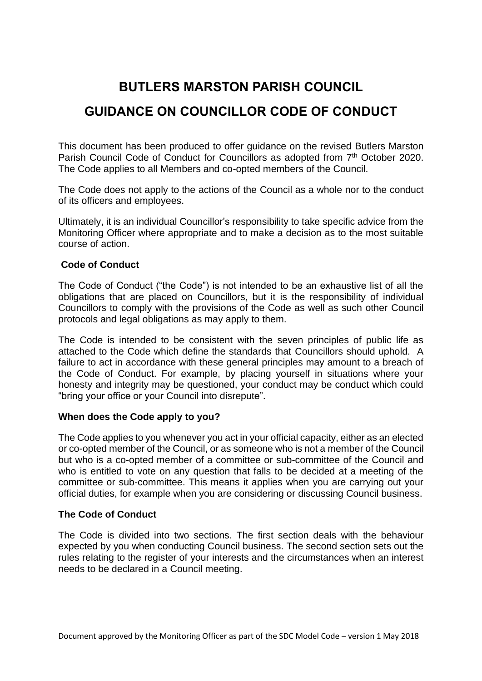# **BUTLERS MARSTON PARISH COUNCIL**

# **GUIDANCE ON COUNCILLOR CODE OF CONDUCT**

This document has been produced to offer guidance on the revised Butlers Marston Parish Council Code of Conduct for Councillors as adopted from 7<sup>th</sup> October 2020. The Code applies to all Members and co-opted members of the Council.

The Code does not apply to the actions of the Council as a whole nor to the conduct of its officers and employees.

Ultimately, it is an individual Councillor's responsibility to take specific advice from the Monitoring Officer where appropriate and to make a decision as to the most suitable course of action.

# **Code of Conduct**

The Code of Conduct ("the Code") is not intended to be an exhaustive list of all the obligations that are placed on Councillors, but it is the responsibility of individual Councillors to comply with the provisions of the Code as well as such other Council protocols and legal obligations as may apply to them.

The Code is intended to be consistent with the seven principles of public life as attached to the Code which define the standards that Councillors should uphold. A failure to act in accordance with these general principles may amount to a breach of the Code of Conduct. For example, by placing yourself in situations where your honesty and integrity may be questioned, your conduct may be conduct which could "bring your office or your Council into disrepute".

# **When does the Code apply to you?**

The Code applies to you whenever you act in your official capacity, either as an elected or co-opted member of the Council, or as someone who is not a member of the Council but who is a co-opted member of a committee or sub-committee of the Council and who is entitled to vote on any question that falls to be decided at a meeting of the committee or sub-committee. This means it applies when you are carrying out your official duties, for example when you are considering or discussing Council business.

# **The Code of Conduct**

The Code is divided into two sections. The first section deals with the behaviour expected by you when conducting Council business. The second section sets out the rules relating to the register of your interests and the circumstances when an interest needs to be declared in a Council meeting.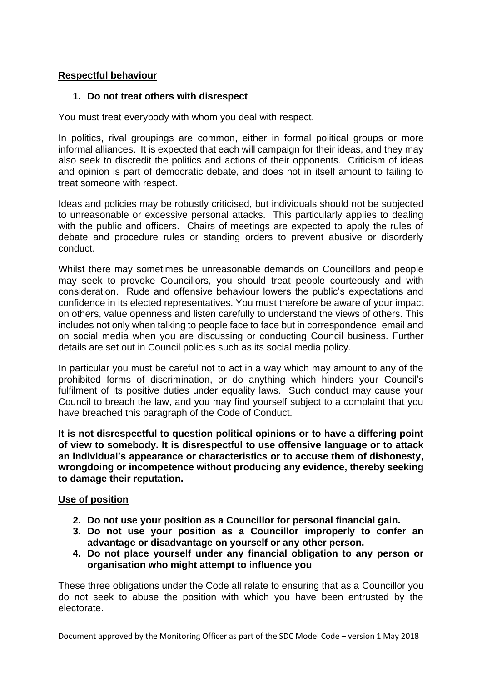# **Respectful behaviour**

# **1. Do not treat others with disrespect**

You must treat everybody with whom you deal with respect.

In politics, rival groupings are common, either in formal political groups or more informal alliances. It is expected that each will campaign for their ideas, and they may also seek to discredit the politics and actions of their opponents. Criticism of ideas and opinion is part of democratic debate, and does not in itself amount to failing to treat someone with respect.

Ideas and policies may be robustly criticised, but individuals should not be subjected to unreasonable or excessive personal attacks. This particularly applies to dealing with the public and officers. Chairs of meetings are expected to apply the rules of debate and procedure rules or standing orders to prevent abusive or disorderly conduct.

Whilst there may sometimes be unreasonable demands on Councillors and people may seek to provoke Councillors, you should treat people courteously and with consideration. Rude and offensive behaviour lowers the public's expectations and confidence in its elected representatives. You must therefore be aware of your impact on others, value openness and listen carefully to understand the views of others. This includes not only when talking to people face to face but in correspondence, email and on social media when you are discussing or conducting Council business. Further details are set out in Council policies such as its social media policy.

In particular you must be careful not to act in a way which may amount to any of the prohibited forms of discrimination, or do anything which hinders your Council's fulfilment of its positive duties under equality laws. Such conduct may cause your Council to breach the law, and you may find yourself subject to a complaint that you have breached this paragraph of the Code of Conduct.

**It is not disrespectful to question political opinions or to have a differing point of view to somebody. It is disrespectful to use offensive language or to attack an individual's appearance or characteristics or to accuse them of dishonesty, wrongdoing or incompetence without producing any evidence, thereby seeking to damage their reputation.**

# **Use of position**

- **2. Do not use your position as a Councillor for personal financial gain.**
- **3. Do not use your position as a Councillor improperly to confer an advantage or disadvantage on yourself or any other person.**
- **4. Do not place yourself under any financial obligation to any person or organisation who might attempt to influence you**

These three obligations under the Code all relate to ensuring that as a Councillor you do not seek to abuse the position with which you have been entrusted by the electorate.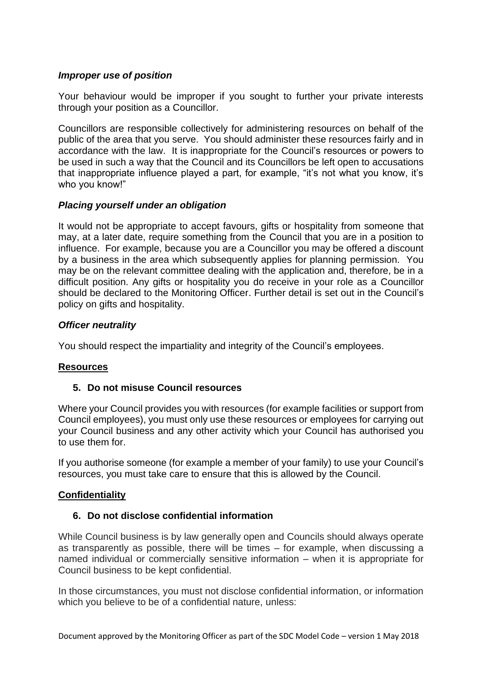# *Improper use of position*

Your behaviour would be improper if you sought to further your private interests through your position as a Councillor.

Councillors are responsible collectively for administering resources on behalf of the public of the area that you serve. You should administer these resources fairly and in accordance with the law. It is inappropriate for the Council's resources or powers to be used in such a way that the Council and its Councillors be left open to accusations that inappropriate influence played a part, for example, "it's not what you know, it's who you know!"

# *Placing yourself under an obligation*

It would not be appropriate to accept favours, gifts or hospitality from someone that may, at a later date, require something from the Council that you are in a position to influence. For example, because you are a Councillor you may be offered a discount by a business in the area which subsequently applies for planning permission. You may be on the relevant committee dealing with the application and, therefore, be in a difficult position. Any gifts or hospitality you do receive in your role as a Councillor should be declared to the Monitoring Officer. Further detail is set out in the Council's policy on gifts and hospitality.

# *Officer neutrality*

You should respect the impartiality and integrity of the Council's employees.

# **Resources**

# **5. Do not misuse Council resources**

Where your Council provides you with resources (for example facilities or support from Council employees), you must only use these resources or employees for carrying out your Council business and any other activity which your Council has authorised you to use them for.

If you authorise someone (for example a member of your family) to use your Council's resources, you must take care to ensure that this is allowed by the Council.

# **Confidentiality**

# **6. Do not disclose confidential information**

While Council business is by law generally open and Councils should always operate as transparently as possible, there will be times – for example, when discussing a named individual or commercially sensitive information – when it is appropriate for Council business to be kept confidential.

In those circumstances, you must not disclose confidential information, or information which you believe to be of a confidential nature, unless: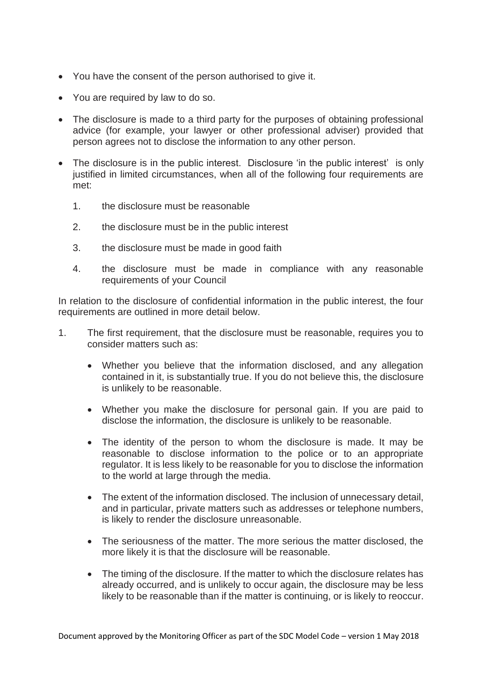- You have the consent of the person authorised to give it.
- You are required by law to do so.
- The disclosure is made to a third party for the purposes of obtaining professional advice (for example, your lawyer or other professional adviser) provided that person agrees not to disclose the information to any other person.
- The disclosure is in the public interest. Disclosure 'in the public interest' is only justified in limited circumstances, when all of the following four requirements are met:
	- 1. the disclosure must be reasonable
	- 2. the disclosure must be in the public interest
	- 3. the disclosure must be made in good faith
	- 4. the disclosure must be made in compliance with any reasonable requirements of your Council

In relation to the disclosure of confidential information in the public interest, the four requirements are outlined in more detail below.

- 1. The first requirement, that the disclosure must be reasonable, requires you to consider matters such as:
	- Whether you believe that the information disclosed, and any allegation contained in it, is substantially true. If you do not believe this, the disclosure is unlikely to be reasonable.
	- Whether you make the disclosure for personal gain. If you are paid to disclose the information, the disclosure is unlikely to be reasonable.
	- The identity of the person to whom the disclosure is made. It may be reasonable to disclose information to the police or to an appropriate regulator. It is less likely to be reasonable for you to disclose the information to the world at large through the media.
	- The extent of the information disclosed. The inclusion of unnecessary detail, and in particular, private matters such as addresses or telephone numbers, is likely to render the disclosure unreasonable.
	- The seriousness of the matter. The more serious the matter disclosed, the more likely it is that the disclosure will be reasonable.
	- The timing of the disclosure. If the matter to which the disclosure relates has already occurred, and is unlikely to occur again, the disclosure may be less likely to be reasonable than if the matter is continuing, or is likely to reoccur.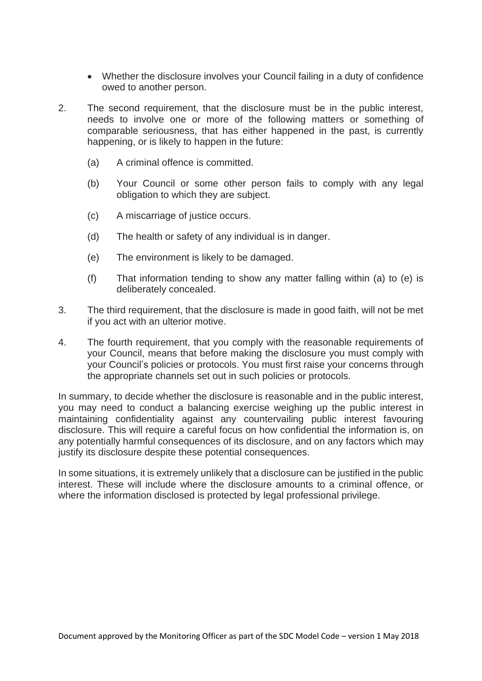- Whether the disclosure involves your Council failing in a duty of confidence owed to another person.
- 2. The second requirement, that the disclosure must be in the public interest, needs to involve one or more of the following matters or something of comparable seriousness, that has either happened in the past, is currently happening, or is likely to happen in the future:
	- (a) A criminal offence is committed.
	- (b) Your Council or some other person fails to comply with any legal obligation to which they are subject.
	- (c) A miscarriage of justice occurs.
	- (d) The health or safety of any individual is in danger.
	- (e) The environment is likely to be damaged.
	- (f) That information tending to show any matter falling within (a) to (e) is deliberately concealed.
- 3. The third requirement, that the disclosure is made in good faith, will not be met if you act with an ulterior motive.
- 4. The fourth requirement, that you comply with the reasonable requirements of your Council, means that before making the disclosure you must comply with your Council's policies or protocols. You must first raise your concerns through the appropriate channels set out in such policies or protocols.

In summary, to decide whether the disclosure is reasonable and in the public interest, you may need to conduct a balancing exercise weighing up the public interest in maintaining confidentiality against any countervailing public interest favouring disclosure. This will require a careful focus on how confidential the information is, on any potentially harmful consequences of its disclosure, and on any factors which may justify its disclosure despite these potential consequences.

In some situations, it is extremely unlikely that a disclosure can be justified in the public interest. These will include where the disclosure amounts to a criminal offence, or where the information disclosed is protected by legal professional privilege.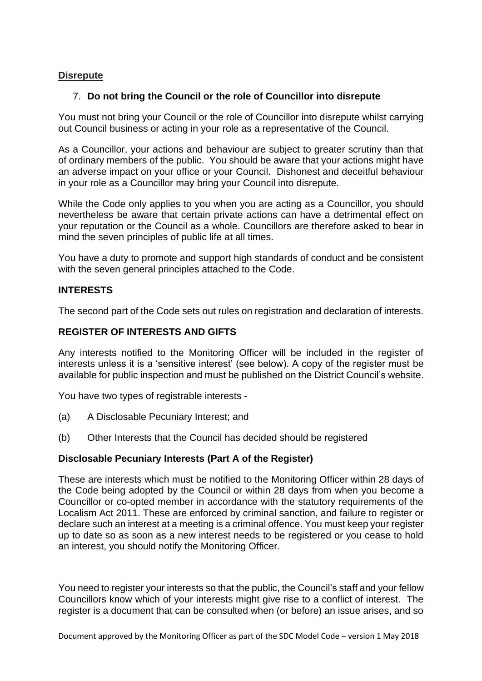# **Disrepute**

# 7. **Do not bring the Council or the role of Councillor into disrepute**

You must not bring your Council or the role of Councillor into disrepute whilst carrying out Council business or acting in your role as a representative of the Council.

As a Councillor, your actions and behaviour are subject to greater scrutiny than that of ordinary members of the public. You should be aware that your actions might have an adverse impact on your office or your Council. Dishonest and deceitful behaviour in your role as a Councillor may bring your Council into disrepute.

While the Code only applies to you when you are acting as a Councillor, you should nevertheless be aware that certain private actions can have a detrimental effect on your reputation or the Council as a whole. Councillors are therefore asked to bear in mind the seven principles of public life at all times.

You have a duty to promote and support high standards of conduct and be consistent with the seven general principles attached to the Code.

# **INTERESTS**

The second part of the Code sets out rules on registration and declaration of interests.

# **REGISTER OF INTERESTS AND GIFTS**

Any interests notified to the Monitoring Officer will be included in the register of interests unless it is a 'sensitive interest' (see below). A copy of the register must be available for public inspection and must be published on the District Council's website.

You have two types of registrable interests -

- (a) A Disclosable Pecuniary Interest; and
- (b) Other Interests that the Council has decided should be registered

# **Disclosable Pecuniary Interests (Part A of the Register)**

These are interests which must be notified to the Monitoring Officer within 28 days of the Code being adopted by the Council or within 28 days from when you become a Councillor or co-opted member in accordance with the statutory requirements of the Localism Act 2011. These are enforced by criminal sanction, and failure to register or declare such an interest at a meeting is a criminal offence. You must keep your register up to date so as soon as a new interest needs to be registered or you cease to hold an interest, you should notify the Monitoring Officer.

You need to register your interests so that the public, the Council's staff and your fellow Councillors know which of your interests might give rise to a conflict of interest. The register is a document that can be consulted when (or before) an issue arises, and so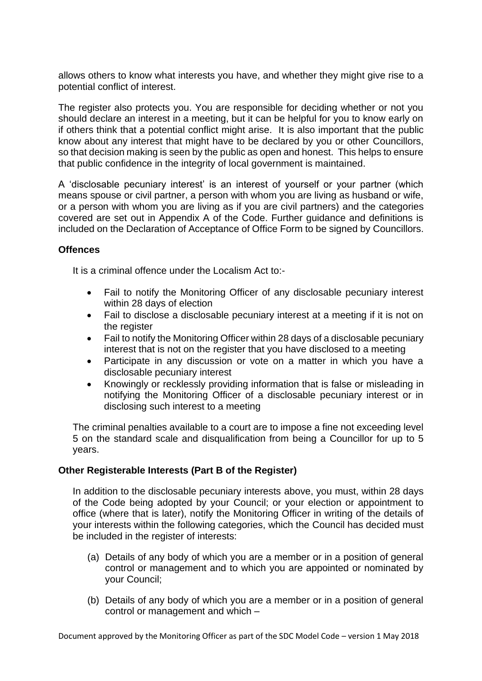allows others to know what interests you have, and whether they might give rise to a potential conflict of interest.

The register also protects you. You are responsible for deciding whether or not you should declare an interest in a meeting, but it can be helpful for you to know early on if others think that a potential conflict might arise. It is also important that the public know about any interest that might have to be declared by you or other Councillors, so that decision making is seen by the public as open and honest. This helps to ensure that public confidence in the integrity of local government is maintained.

A 'disclosable pecuniary interest' is an interest of yourself or your partner (which means spouse or civil partner, a person with whom you are living as husband or wife, or a person with whom you are living as if you are civil partners) and the categories covered are set out in Appendix A of the Code. Further guidance and definitions is included on the Declaration of Acceptance of Office Form to be signed by Councillors.

# **Offences**

It is a criminal offence under the Localism Act to:-

- Fail to notify the Monitoring Officer of any disclosable pecuniary interest within 28 days of election
- Fail to disclose a disclosable pecuniary interest at a meeting if it is not on the register
- Fail to notify the Monitoring Officer within 28 days of a disclosable pecuniary interest that is not on the register that you have disclosed to a meeting
- Participate in any discussion or vote on a matter in which you have a disclosable pecuniary interest
- Knowingly or recklessly providing information that is false or misleading in notifying the Monitoring Officer of a disclosable pecuniary interest or in disclosing such interest to a meeting

The criminal penalties available to a court are to impose a fine not exceeding level 5 on the standard scale and disqualification from being a Councillor for up to 5 years.

# **Other Registerable Interests (Part B of the Register)**

In addition to the disclosable pecuniary interests above, you must, within 28 days of the Code being adopted by your Council; or your election or appointment to office (where that is later), notify the Monitoring Officer in writing of the details of your interests within the following categories, which the Council has decided must be included in the register of interests:

- (a) Details of any body of which you are a member or in a position of general control or management and to which you are appointed or nominated by your Council;
- (b) Details of any body of which you are a member or in a position of general control or management and which –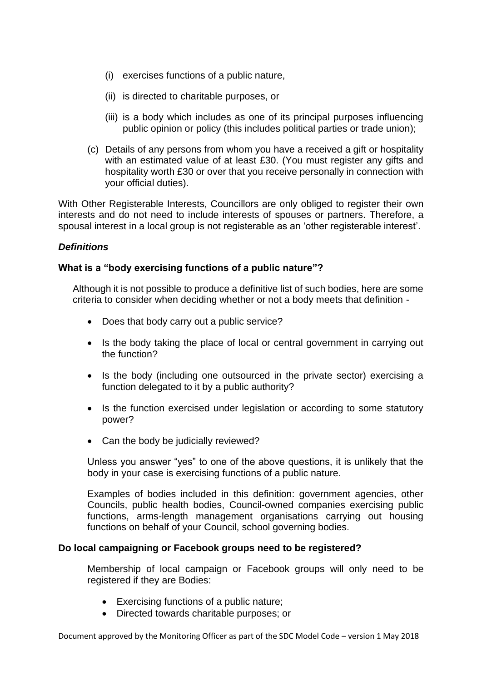- (i) exercises functions of a public nature,
- (ii) is directed to charitable purposes, or
- (iii) is a body which includes as one of its principal purposes influencing public opinion or policy (this includes political parties or trade union);
- (c) Details of any persons from whom you have a received a gift or hospitality with an estimated value of at least £30. (You must register any gifts and hospitality worth £30 or over that you receive personally in connection with your official duties).

With Other Registerable Interests, Councillors are only obliged to register their own interests and do not need to include interests of spouses or partners. Therefore, a spousal interest in a local group is not registerable as an 'other registerable interest'.

# *Definitions*

# **What is a "body exercising functions of a public nature"?**

Although it is not possible to produce a definitive list of such bodies, here are some criteria to consider when deciding whether or not a body meets that definition -

- Does that body carry out a public service?
- Is the body taking the place of local or central government in carrying out the function?
- Is the body (including one outsourced in the private sector) exercising a function delegated to it by a public authority?
- Is the function exercised under legislation or according to some statutory power?
- Can the body be judicially reviewed?

Unless you answer "yes" to one of the above questions, it is unlikely that the body in your case is exercising functions of a public nature.

Examples of bodies included in this definition: government agencies, other Councils, public health bodies, Council-owned companies exercising public functions, arms-length management organisations carrying out housing functions on behalf of your Council, school governing bodies.

# **Do local campaigning or Facebook groups need to be registered?**

Membership of local campaign or Facebook groups will only need to be registered if they are Bodies:

- Exercising functions of a public nature;
- Directed towards charitable purposes; or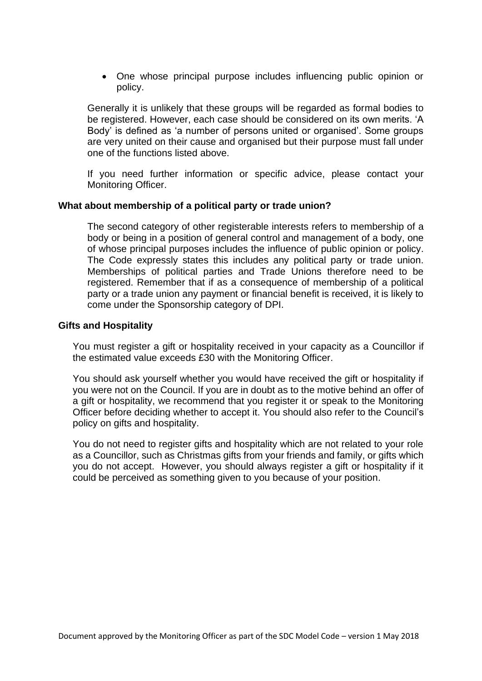• One whose principal purpose includes influencing public opinion or policy.

Generally it is unlikely that these groups will be regarded as formal bodies to be registered. However, each case should be considered on its own merits. 'A Body' is defined as 'a number of persons united or organised'. Some groups are very united on their cause and organised but their purpose must fall under one of the functions listed above.

If you need further information or specific advice, please contact your Monitoring Officer.

#### **What about membership of a political party or trade union?**

The second category of other registerable interests refers to membership of a body or being in a position of general control and management of a body, one of whose principal purposes includes the influence of public opinion or policy. The Code expressly states this includes any political party or trade union. Memberships of political parties and Trade Unions therefore need to be registered. Remember that if as a consequence of membership of a political party or a trade union any payment or financial benefit is received, it is likely to come under the Sponsorship category of DPI.

#### **Gifts and Hospitality**

You must register a gift or hospitality received in your capacity as a Councillor if the estimated value exceeds £30 with the Monitoring Officer.

You should ask yourself whether you would have received the gift or hospitality if you were not on the Council. If you are in doubt as to the motive behind an offer of a gift or hospitality, we recommend that you register it or speak to the Monitoring Officer before deciding whether to accept it. You should also refer to the Council's policy on gifts and hospitality.

You do not need to register gifts and hospitality which are not related to your role as a Councillor, such as Christmas gifts from your friends and family, or gifts which you do not accept. However, you should always register a gift or hospitality if it could be perceived as something given to you because of your position.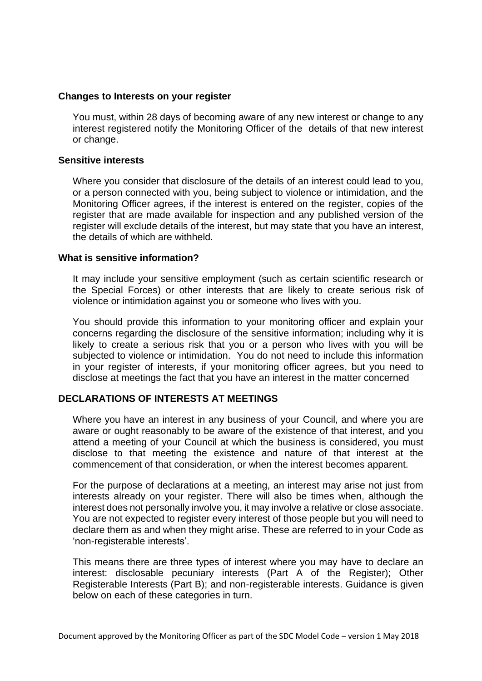#### **Changes to Interests on your register**

You must, within 28 days of becoming aware of any new interest or change to any interest registered notify the Monitoring Officer of the details of that new interest or change.

#### **Sensitive interests**

Where you consider that disclosure of the details of an interest could lead to you, or a person connected with you, being subject to violence or intimidation, and the Monitoring Officer agrees, if the interest is entered on the register, copies of the register that are made available for inspection and any published version of the register will exclude details of the interest, but may state that you have an interest, the details of which are withheld.

#### **What is sensitive information?**

It may include your sensitive employment (such as certain scientific research or the Special Forces) or other interests that are likely to create serious risk of violence or intimidation against you or someone who lives with you.

You should provide this information to your monitoring officer and explain your concerns regarding the disclosure of the sensitive information; including why it is likely to create a serious risk that you or a person who lives with you will be subjected to violence or intimidation. You do not need to include this information in your register of interests, if your monitoring officer agrees, but you need to disclose at meetings the fact that you have an interest in the matter concerned

# **DECLARATIONS OF INTERESTS AT MEETINGS**

Where you have an interest in any business of your Council, and where you are aware or ought reasonably to be aware of the existence of that interest, and you attend a meeting of your Council at which the business is considered, you must disclose to that meeting the existence and nature of that interest at the commencement of that consideration, or when the interest becomes apparent.

For the purpose of declarations at a meeting, an interest may arise not just from interests already on your register. There will also be times when, although the interest does not personally involve you, it may involve a relative or close associate. You are not expected to register every interest of those people but you will need to declare them as and when they might arise. These are referred to in your Code as 'non-registerable interests'.

This means there are three types of interest where you may have to declare an interest: disclosable pecuniary interests (Part A of the Register); Other Registerable Interests (Part B); and non-registerable interests. Guidance is given below on each of these categories in turn.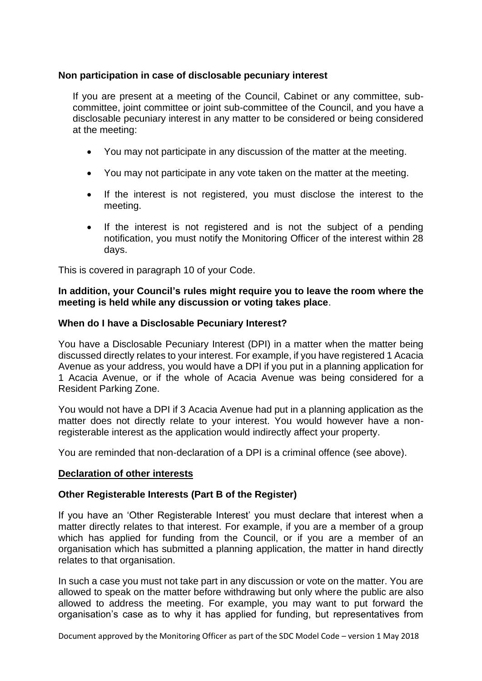# **Non participation in case of disclosable pecuniary interest**

If you are present at a meeting of the Council, Cabinet or any committee, subcommittee, joint committee or joint sub-committee of the Council, and you have a disclosable pecuniary interest in any matter to be considered or being considered at the meeting:

- You may not participate in any discussion of the matter at the meeting.
- You may not participate in any vote taken on the matter at the meeting.
- If the interest is not registered, you must disclose the interest to the meeting.
- If the interest is not registered and is not the subject of a pending notification, you must notify the Monitoring Officer of the interest within 28 days.

This is covered in paragraph 10 of your Code.

### **In addition, your Council's rules might require you to leave the room where the meeting is held while any discussion or voting takes place**.

# **When do I have a Disclosable Pecuniary Interest?**

You have a Disclosable Pecuniary Interest (DPI) in a matter when the matter being discussed directly relates to your interest. For example, if you have registered 1 Acacia Avenue as your address, you would have a DPI if you put in a planning application for 1 Acacia Avenue, or if the whole of Acacia Avenue was being considered for a Resident Parking Zone.

You would not have a DPI if 3 Acacia Avenue had put in a planning application as the matter does not directly relate to your interest. You would however have a nonregisterable interest as the application would indirectly affect your property.

You are reminded that non-declaration of a DPI is a criminal offence (see above).

#### **Declaration of other interests**

# **Other Registerable Interests (Part B of the Register)**

If you have an 'Other Registerable Interest' you must declare that interest when a matter directly relates to that interest. For example, if you are a member of a group which has applied for funding from the Council, or if you are a member of an organisation which has submitted a planning application, the matter in hand directly relates to that organisation.

In such a case you must not take part in any discussion or vote on the matter. You are allowed to speak on the matter before withdrawing but only where the public are also allowed to address the meeting. For example, you may want to put forward the organisation's case as to why it has applied for funding, but representatives from

Document approved by the Monitoring Officer as part of the SDC Model Code – version 1 May 2018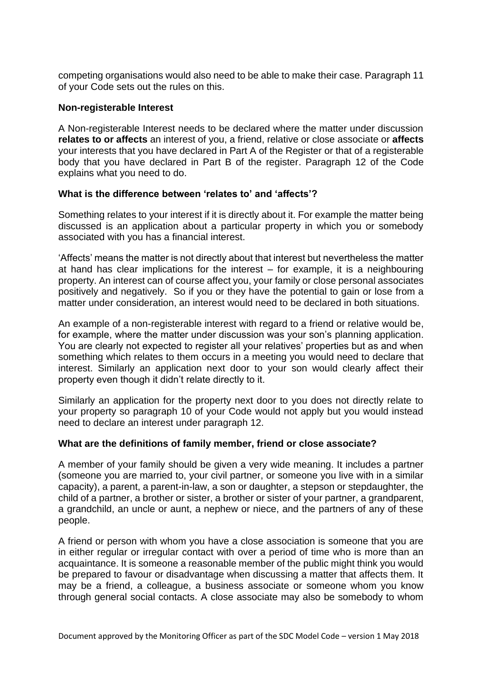competing organisations would also need to be able to make their case. Paragraph 11 of your Code sets out the rules on this.

### **Non-registerable Interest**

A Non-registerable Interest needs to be declared where the matter under discussion **relates to or affects** an interest of you, a friend, relative or close associate or **affects** your interests that you have declared in Part A of the Register or that of a registerable body that you have declared in Part B of the register. Paragraph 12 of the Code explains what you need to do.

# **What is the difference between 'relates to' and 'affects'?**

Something relates to your interest if it is directly about it. For example the matter being discussed is an application about a particular property in which you or somebody associated with you has a financial interest.

'Affects' means the matter is not directly about that interest but nevertheless the matter at hand has clear implications for the interest – for example, it is a neighbouring property. An interest can of course affect you, your family or close personal associates positively and negatively. So if you or they have the potential to gain or lose from a matter under consideration, an interest would need to be declared in both situations.

An example of a non-registerable interest with regard to a friend or relative would be, for example, where the matter under discussion was your son's planning application. You are clearly not expected to register all your relatives' properties but as and when something which relates to them occurs in a meeting you would need to declare that interest. Similarly an application next door to your son would clearly affect their property even though it didn't relate directly to it.

Similarly an application for the property next door to you does not directly relate to your property so paragraph 10 of your Code would not apply but you would instead need to declare an interest under paragraph 12.

# **What are the definitions of family member, friend or close associate?**

A member of your family should be given a very wide meaning. It includes a partner (someone you are married to, your civil partner, or someone you live with in a similar capacity), a parent, a parent-in-law, a son or daughter, a stepson or stepdaughter, the child of a partner, a brother or sister, a brother or sister of your partner, a grandparent, a grandchild, an uncle or aunt, a nephew or niece, and the partners of any of these people.

A friend or person with whom you have a close association is someone that you are in either regular or irregular contact with over a period of time who is more than an acquaintance. It is someone a reasonable member of the public might think you would be prepared to favour or disadvantage when discussing a matter that affects them. It may be a friend, a colleague, a business associate or someone whom you know through general social contacts. A close associate may also be somebody to whom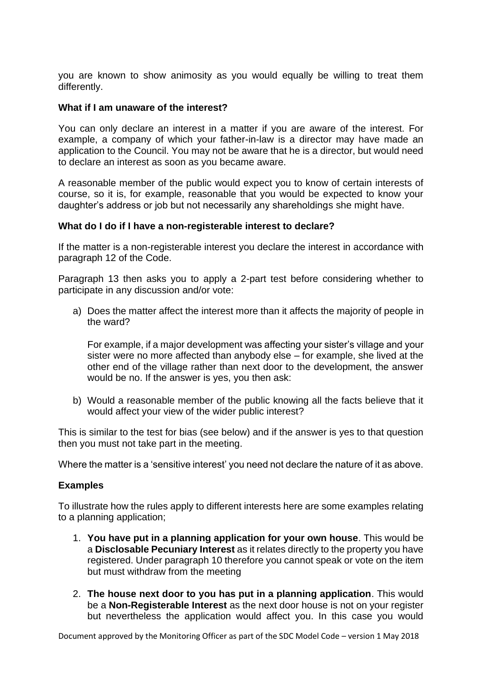you are known to show animosity as you would equally be willing to treat them differently.

#### **What if I am unaware of the interest?**

You can only declare an interest in a matter if you are aware of the interest. For example, a company of which your father-in-law is a director may have made an application to the Council. You may not be aware that he is a director, but would need to declare an interest as soon as you became aware.

A reasonable member of the public would expect you to know of certain interests of course, so it is, for example, reasonable that you would be expected to know your daughter's address or job but not necessarily any shareholdings she might have.

#### **What do I do if I have a non-registerable interest to declare?**

If the matter is a non-registerable interest you declare the interest in accordance with paragraph 12 of the Code.

Paragraph 13 then asks you to apply a 2-part test before considering whether to participate in any discussion and/or vote:

a) Does the matter affect the interest more than it affects the majority of people in the ward?

For example, if a major development was affecting your sister's village and your sister were no more affected than anybody else – for example, she lived at the other end of the village rather than next door to the development, the answer would be no. If the answer is yes, you then ask:

b) Would a reasonable member of the public knowing all the facts believe that it would affect your view of the wider public interest?

This is similar to the test for bias (see below) and if the answer is yes to that question then you must not take part in the meeting.

Where the matter is a 'sensitive interest' you need not declare the nature of it as above.

# **Examples**

To illustrate how the rules apply to different interests here are some examples relating to a planning application;

- 1. **You have put in a planning application for your own house**. This would be a **Disclosable Pecuniary Interest** as it relates directly to the property you have registered. Under paragraph 10 therefore you cannot speak or vote on the item but must withdraw from the meeting
- 2. **The house next door to you has put in a planning application**. This would be a **Non-Registerable Interest** as the next door house is not on your register but nevertheless the application would affect you. In this case you would

Document approved by the Monitoring Officer as part of the SDC Model Code – version 1 May 2018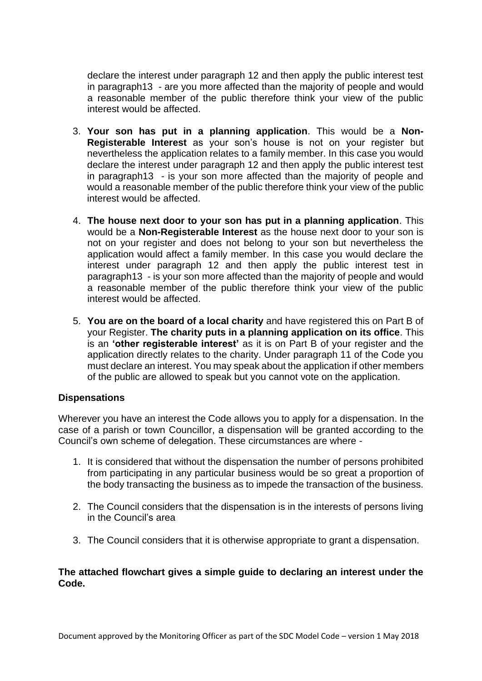declare the interest under paragraph 12 and then apply the public interest test in paragraph13 - are you more affected than the majority of people and would a reasonable member of the public therefore think your view of the public interest would be affected.

- 3. **Your son has put in a planning application**. This would be a **Non-Registerable Interest** as your son's house is not on your register but nevertheless the application relates to a family member. In this case you would declare the interest under paragraph 12 and then apply the public interest test in paragraph13 - is your son more affected than the majority of people and would a reasonable member of the public therefore think your view of the public interest would be affected.
- 4. **The house next door to your son has put in a planning application**. This would be a **Non-Registerable Interest** as the house next door to your son is not on your register and does not belong to your son but nevertheless the application would affect a family member. In this case you would declare the interest under paragraph 12 and then apply the public interest test in paragraph13 - is your son more affected than the majority of people and would a reasonable member of the public therefore think your view of the public interest would be affected.
- 5. **You are on the board of a local charity** and have registered this on Part B of your Register. **The charity puts in a planning application on its office**. This is an **'other registerable interest'** as it is on Part B of your register and the application directly relates to the charity. Under paragraph 11 of the Code you must declare an interest. You may speak about the application if other members of the public are allowed to speak but you cannot vote on the application.

# **Dispensations**

Wherever you have an interest the Code allows you to apply for a dispensation. In the case of a parish or town Councillor, a dispensation will be granted according to the Council's own scheme of delegation. These circumstances are where -

- 1. It is considered that without the dispensation the number of persons prohibited from participating in any particular business would be so great a proportion of the body transacting the business as to impede the transaction of the business.
- 2. The Council considers that the dispensation is in the interests of persons living in the Council's area
- 3. The Council considers that it is otherwise appropriate to grant a dispensation.

#### **The attached flowchart gives a simple guide to declaring an interest under the Code.**